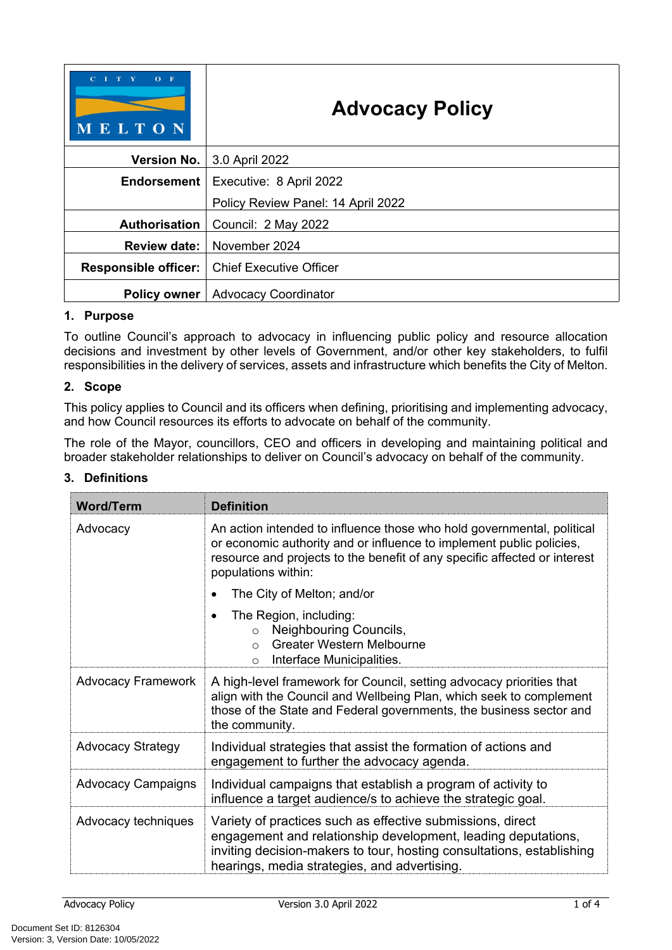| $C$ $I$ $T$ $Y$<br>$O$ F<br>MELTON | <b>Advocacy Policy</b>             |  |
|------------------------------------|------------------------------------|--|
| <b>Version No.</b>                 | 3.0 April 2022                     |  |
| Endorsement                        | Executive: 8 April 2022            |  |
|                                    | Policy Review Panel: 14 April 2022 |  |
| <b>Authorisation</b>               | Council: 2 May 2022                |  |
| <b>Review date:</b>                | November 2024                      |  |
| <b>Responsible officer:</b>        | <b>Chief Executive Officer</b>     |  |
| <b>Policy owner</b>                | <b>Advocacy Coordinator</b>        |  |

#### **1. Purpose**

To outline Council's approach to advocacy in influencing public policy and resource allocation decisions and investment by other levels of Government, and/or other key stakeholders, to fulfil responsibilities in the delivery of services, assets and infrastructure which benefits the City of Melton.

### **2. Scope**

This policy applies to Council and its officers when defining, prioritising and implementing advocacy, and how Council resources its efforts to advocate on behalf of the community.

The role of the Mayor, councillors, CEO and officers in developing and maintaining political and broader stakeholder relationships to deliver on Council's advocacy on behalf of the community.

#### **3. Definitions**

| <b>Word/Term</b>          | <b>Definition</b>                                                                                                                                                                                                                                    |  |
|---------------------------|------------------------------------------------------------------------------------------------------------------------------------------------------------------------------------------------------------------------------------------------------|--|
| Advocacy                  | An action intended to influence those who hold governmental, political<br>or economic authority and or influence to implement public policies,<br>resource and projects to the benefit of any specific affected or interest<br>populations within:   |  |
|                           | The City of Melton; and/or                                                                                                                                                                                                                           |  |
|                           | The Region, including:<br>Neighbouring Councils,<br>$\circ$<br><b>Greater Western Melbourne</b><br>$\Omega$<br>Interface Municipalities.<br>$\circ$                                                                                                  |  |
| <b>Advocacy Framework</b> | A high-level framework for Council, setting advocacy priorities that<br>align with the Council and Wellbeing Plan, which seek to complement<br>those of the State and Federal governments, the business sector and<br>the community.                 |  |
| <b>Advocacy Strategy</b>  | Individual strategies that assist the formation of actions and<br>engagement to further the advocacy agenda.                                                                                                                                         |  |
| <b>Advocacy Campaigns</b> | Individual campaigns that establish a program of activity to<br>influence a target audience/s to achieve the strategic goal.                                                                                                                         |  |
| Advocacy techniques       | Variety of practices such as effective submissions, direct<br>engagement and relationship development, leading deputations,<br>inviting decision-makers to tour, hosting consultations, establishing<br>hearings, media strategies, and advertising. |  |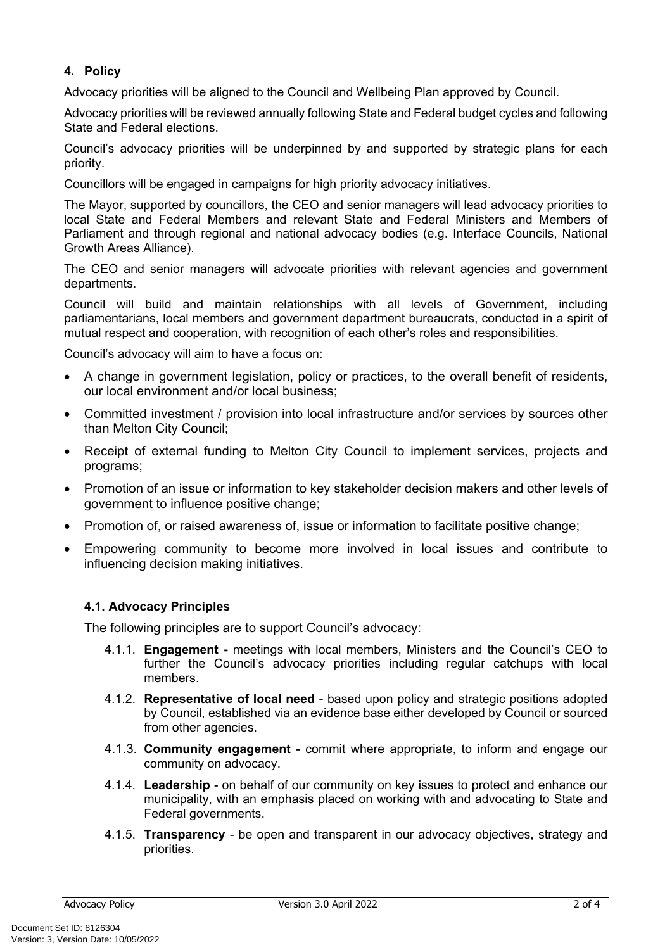## **4. Policy**

Advocacy priorities will be aligned to the Council and Wellbeing Plan approved by Council.

Advocacy priorities will be reviewed annually following State and Federal budget cycles and following State and Federal elections.

Council's advocacy priorities will be underpinned by and supported by strategic plans for each priority.

Councillors will be engaged in campaigns for high priority advocacy initiatives.

The Mayor, supported by councillors, the CEO and senior managers will lead advocacy priorities to local State and Federal Members and relevant State and Federal Ministers and Members of Parliament and through regional and national advocacy bodies (e.g. Interface Councils, National Growth Areas Alliance).

The CEO and senior managers will advocate priorities with relevant agencies and government departments.

Council will build and maintain relationships with all levels of Government, including parliamentarians, local members and government department bureaucrats, conducted in a spirit of mutual respect and cooperation, with recognition of each other's roles and responsibilities.

Council's advocacy will aim to have a focus on:

- A change in government legislation, policy or practices, to the overall benefit of residents, our local environment and/or local business;
- Committed investment / provision into local infrastructure and/or services by sources other than Melton City Council;
- Receipt of external funding to Melton City Council to implement services, projects and programs;
- Promotion of an issue or information to key stakeholder decision makers and other levels of government to influence positive change;
- Promotion of, or raised awareness of, issue or information to facilitate positive change:
- Empowering community to become more involved in local issues and contribute to influencing decision making initiatives.

#### **4.1. Advocacy Principles**

The following principles are to support Council's advocacy:

- 4.1.1. **Engagement** meetings with local members, Ministers and the Council's CEO to further the Council's advocacy priorities including regular catchups with local members.
- 4.1.2. **Representative of local need**  based upon policy and strategic positions adopted by Council, established via an evidence base either developed by Council or sourced from other agencies.
- 4.1.3. **Community engagement**  commit where appropriate, to inform and engage our community on advocacy.
- 4.1.4. **Leadership**  on behalf of our community on key issues to protect and enhance our municipality, with an emphasis placed on working with and advocating to State and Federal governments.
- 4.1.5. **Transparency**  be open and transparent in our advocacy objectives, strategy and priorities.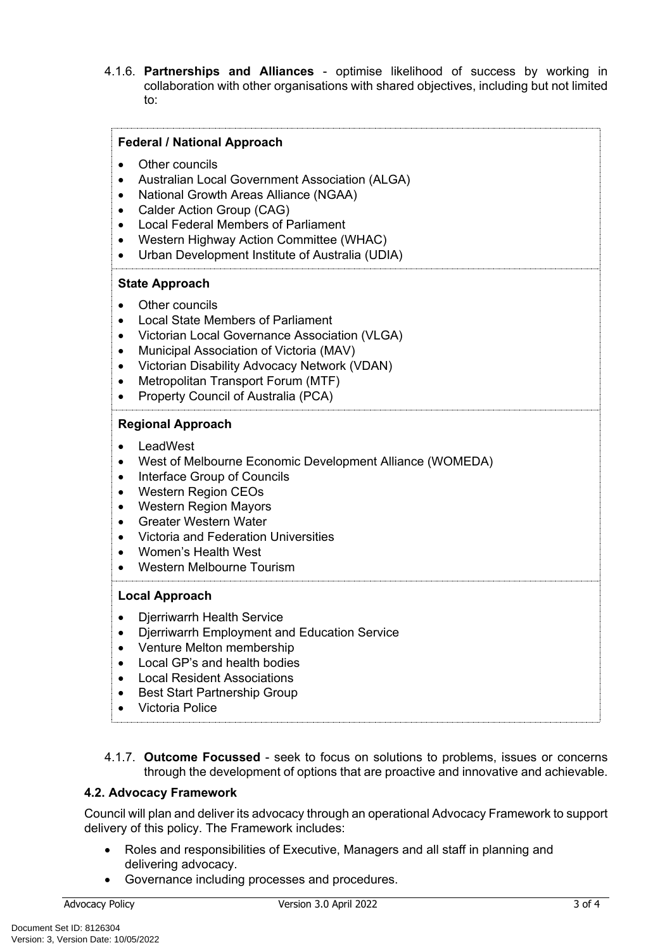4.1.6. **Partnerships and Alliances** - optimise likelihood of success by working in collaboration with other organisations with shared objectives, including but not limited to:

| <b>Federal / National Approach</b><br>Other councils<br>$\bullet$<br>Australian Local Government Association (ALGA)<br>National Growth Areas Alliance (NGAA)<br>Calder Action Group (CAG)<br><b>Local Federal Members of Parliament</b><br>Western Highway Action Committee (WHAC)<br>Urban Development Institute of Australia (UDIA)<br>$\bullet$ |  |  |
|----------------------------------------------------------------------------------------------------------------------------------------------------------------------------------------------------------------------------------------------------------------------------------------------------------------------------------------------------|--|--|
| <b>State Approach</b><br>Other councils<br><b>Local State Members of Parliament</b><br>Victorian Local Governance Association (VLGA)<br>Municipal Association of Victoria (MAV)<br>Victorian Disability Advocacy Network (VDAN)<br>٠<br>Metropolitan Transport Forum (MTF)<br>$\bullet$<br>Property Council of Australia (PCA)<br>$\bullet$        |  |  |
| <b>Regional Approach</b><br>LeadWest<br>West of Melbourne Economic Development Alliance (WOMEDA)<br>Interface Group of Councils<br>$\bullet$<br><b>Western Region CEOs</b><br><b>Western Region Mayors</b><br><b>Greater Western Water</b><br>Victoria and Federation Universities<br>Women's Health West<br>Western Melbourne Tourism             |  |  |
| <b>Local Approach</b><br>Djerriwarrh Health Service<br>Djerriwarrh Employment and Education Service<br>Venture Melton membership<br>Local GP's and health bodies<br><b>Local Resident Associations</b><br><b>Best Start Partnership Group</b><br><b>Victoria Police</b>                                                                            |  |  |

4.1.7. **Outcome Focussed** - seek to focus on solutions to problems, issues or concerns through the development of options that are proactive and innovative and achievable.

## **4.2. Advocacy Framework**

Council will plan and deliver its advocacy through an operational Advocacy Framework to support delivery of this policy. The Framework includes:

- Roles and responsibilities of Executive, Managers and all staff in planning and delivering advocacy.
- Governance including processes and procedures.

Document Set ID: 8126304<br>Version: 3, Version Date: 10/05/2022